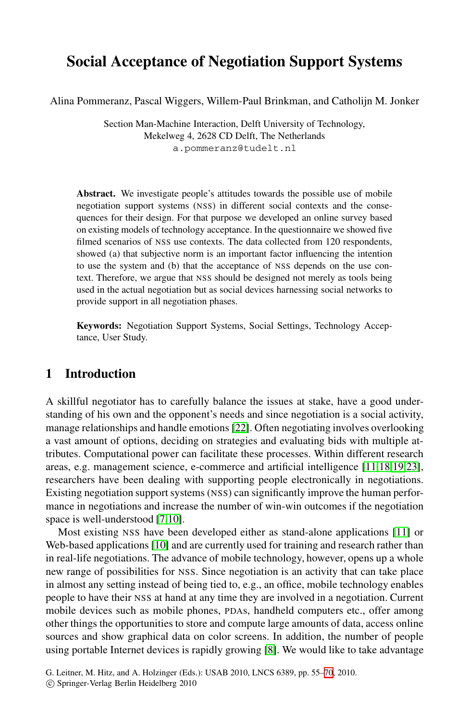# **Social Acceptance of Negotiation Support Systems**

Alina Pommeranz, Pascal Wiggers, Willem-Paul Brinkman, and Catholijn M. Jonker

Section Man-Machine Interaction, Delft University of Technology, Mekelweg 4, 2628 CD Delft, The Netherlands a.pommeranz@tudelt.nl

**Abstract.** We investigate people's attitudes towards the possible use of mobile negotiation support systems (NSS) in different social contexts and the consequences for their design. For that purpose we developed an online survey based on existing models of technology acceptance. In the questionnaire we showed five filmed scenarios of NSS use contexts. The data collected from 120 respondents, showed (a) that subjective norm is an important factor influencing the intention to use the system and (b) that the acceptance of NSS depends on the use context. Therefore, we argue that NSS should be designed not merely as tools being used in the actual negotiation but as social devices harnessing social networks to provide support in all negotiation phases.

**Keywords:** Neg[otia](#page-14-0)tion Support Systems, Social Settings, Technology Acceptance, User Study.

## **1 Introduction**

A skillful negotiator has to carefully balance the issues at stake, have a good understan[din](#page-14-1)[g o](#page-14-2)f his own and the opponent's needs and since negotiation is a social activity, manage relationships and handle emotions [22]. Often nego[tiati](#page-14-3)ng involves overlooking a v[ast a](#page-14-2)mount of options, deciding on strategies and evaluating bids with multiple attributes. Computational power can facilitate these processes. Within different research areas, e.g. management science, e-commerce and artificial intelligence [11,18,19,23], researchers have been dealing with supporting people electronically in negotiations. Existing negotiation support systems (NSS) can significantly improve the human performance in negotiations and increase the number of win-win outcomes if the negotiation space is well-understood [7,10].

Most existing NSS have been developed either as stand-alone applications [11] or Web-based applications [10] a[nd](#page-14-4) are currently used for training and research rather than in real-life negotiations. The advance of mobile technology, however, opens up a whole new range of possibilities for NSS. Since [neg](#page-15-0)otiation is an activity that can take place in almost any setting instead of being tied to, e.g., an office, mobile technology enables people to have their NSS at hand at any time they are involved in a negotiation. Current mobile devices such as mobile phones, PDAs, handheld computers etc., offer among other things the opportunities to store and compute large amounts of data, access online sources and show graphical data on color screens. In addition, the number of people using portable Internet devices is rapidly growing [8]. We would like to take advantage

G. Leitner, M. Hitz, and A. Holzinger (Eds.): USAB 2010, LNCS 6389, pp. 55–70, 2010.

<sup>-</sup>c Springer-Verlag Berlin Heidelberg 2010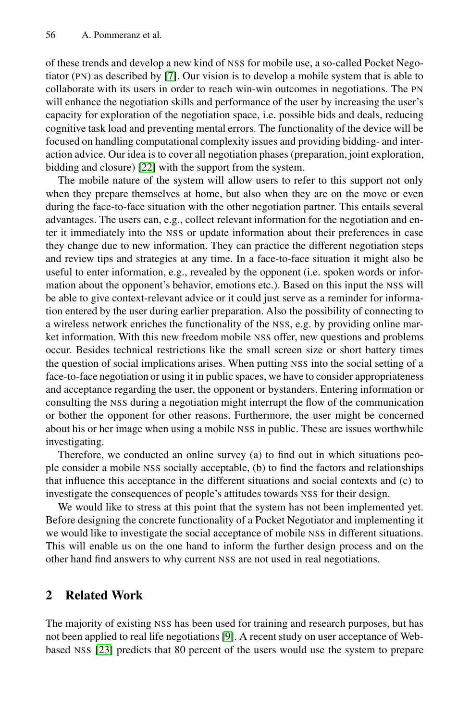#### 56 A. Pommeranz et al.

[of th](#page-14-0)ese trends and develop a new kind of NSS for mobile use, a so-called Pocket Negotiator (PN) as described by [7]. Our vision is to develop a mobile system that is able to collaborate with its users in order to reach win-win outcomes in negotiations. The PN will enhance the negotiation skills and performance of the user by increasing the user's capacity for exploration of the negotiation space, i.e. possible bids and deals, reducing cognitive task load and preventing mental errors. The functionality of the device will be focused on handling computational complexity issues and providing bidding- and interaction advice. Our idea is to cover all negotiation phases (preparation, joint exploration, bidding and closure) [22] with the support from the system.

The mobile nature of the system will allow users to refer to this support not only when they prepare themselves at home, but also when they are on the move or even during the face-to-face situation with the other negotiation partner. This entails several advantages. The users can, e.g., collect relevant information for the negotiation and enter it immediately into the NSS or update information about their preferences in case they change due to new information. They can practice the different negotiation steps and review tips and strategies at any time. In a face-to-face situation it might also be useful to enter information, e.g., revealed by the opponent (i.e. spoken words or information about the opponent's behavior, emotions etc.). Based on this input the NSS will be able to give context-relevant advice or it could just serve as a reminder for information entered by the user during earlier preparation. Also the possibility of connecting to a wireless network enriches the functionality of the NSS, e.g. by providing online market information. With this new freedom mobile NSS offer, new questions and problems occur. Besides technical restrictions like the small screen size or short battery times the question of social implications arises. When putting NSS into the social setting of a face-to-face negotiation or using it in public spaces, we have to consider appropriateness and acceptance regarding the user, the opponent or bystanders. Entering information or consulting the NSS during a negotiation might interrupt the flow of the communication or bother the opponent for other reasons. Furthermore, the user might be concerned about his or her image when using a mobile NSS in public. These are issues worthwhile investigating.

Therefore, we conducted an online survey (a) to find out in which situations people consider a mobile NSS socially acceptable, (b) to find the factors and relationships that influence this acceptance in the different situations and social contexts and (c) to investigate the consequences of people's attitudes towards NSS for their design.

We would like to stress at this point that the system has not been implemented yet. Before designing the concrete functionality of a Pocket Negotiator and implementing it we would like to in[ves](#page-14-5)tigate the social acceptance of mobile NSS in different situations. This will enable us on the one hand to inform the further design process and on the other hand find answers to why current NSS are not used in real negotiations.

## **2 Related Work**

The majority of existing NSS has been used for training and research purposes, but has not been applied to real life negotiations [9]. A recent study on user acceptance of Webbased NSS [23] predicts that 80 percent of the users would use the system to prepare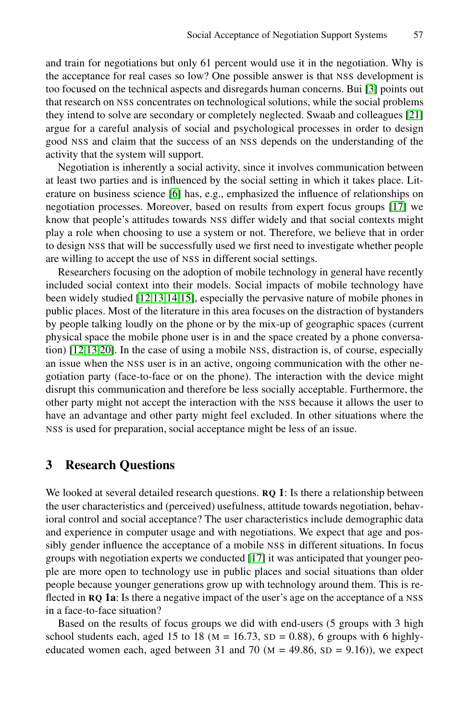and train for negotiations but only 61 percent would use it in the negotiation. Why is the acceptance for real cases so low? One possible answer is that NSS development is too foc[use](#page-14-6)d on the technical aspects and disregards human concerns. Bui [3] points out that research on NSS concentrates on technological solutio[ns, w](#page-14-7)hile the social problems they intend to solve are secondary or completely neglected. Swaab and colleagues [21] argue for a careful analysis of social and psychological processes in order to design good NSS and claim that the success of an NSS depends on the understanding of the activity that the system will support.

Negotiation is inherently a social activity, since it involves communication between at least two parties and is influenced by the social setting in which it takes place. Lit[erat](#page-14-8)[ure](#page-14-9) [on](#page-14-10) [bu](#page-14-11)siness science [6] has, e.g., emphasized the influence of relationships on negotiation processes. Moreover, based on results from expert focus groups [17] we know that people's attitudes towards NSS differ widely and that social contexts might play a role when choosing to use a system or not. Therefore, we believe that in order to design NSS that will be successfully used we first need to investigate whether people are willing to accept the use of NSS in different social settings.

Researchers focusing on the adoption of mobile technology in general have recently included social context into their models. Social impacts of mobile technology have been widely studied [12,13,14,15], especially the pervasive nature of mobile phones in public places. Most of the literature in this area focuses on the distraction of bystanders by people talking loudly on the phone or by the mix-up of geographic spaces (current physical space the mobile phone user is in and the space created by a phone conversation) [12,13,20]. In the case of using a mobile NSS, distraction is, of course, especially an issue when the NSS user is in an active, ongoing communication with the other negotiation party (face-to-face or on the phone). The interaction with the device might disrupt this communication and therefore be less socially acceptable. Furthermore, the other party might not accept the interaction with the NSS because it allows the user to have an advantage and other party might feel excluded. In other situations where the NSS is used for preparation, social acceptance might be less of an issue.

## **3 Research Questi[ons](#page-14-7)**

We looked at several detailed research questions. **RQ 1**: Is there a relationship between the user characteristics and (perceived) usefulness, attitude towards negotiation, behavioral control and social acceptance? The user characteristics include demographic data and experience in computer usage and with negotiations. We expect that age and possibly gender influence the acceptance of a mobile NSS in different situations. In focus groups with negotiation experts we conducted [17] it was anticipated that younger people are more open to technology use in public places and social situations than older people because younger generations grow up with technology around them. This is reflected in **RQ 1a**: Is there a negative impact of the user's age on the acceptance of a NSS in a face-to-face situation?

Based on the results of focus groups we did with end-users (5 groups with 3 high school students each, aged 15 to 18 ( $M = 16.73$ ,  $SD = 0.88$ ), 6 groups with 6 highlyeducated women each, aged between 31 and 70 ( $M = 49.86$ ,  $SD = 9.16$ )), we expect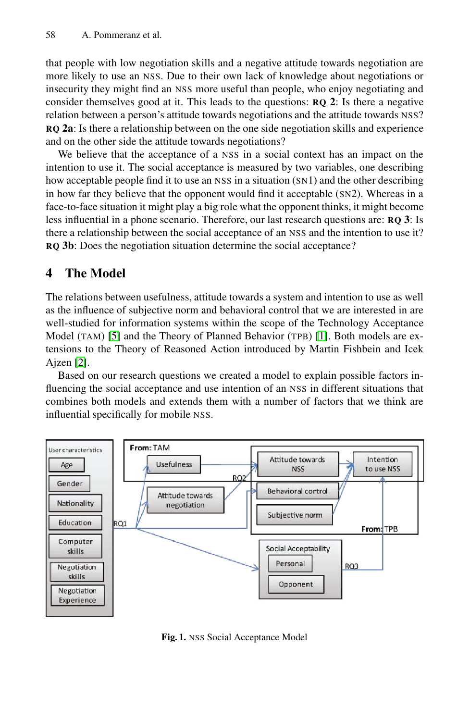#### 58 A. Pommeranz et al.

that people with low negotiation skills and a negative attitude towards negotiation are more likely to use an NSS. Due to their own lack of knowledge about negotiations or insecurity they might find an NSS more useful than people, who enjoy negotiating and consider themselves good at it. This leads to the questions: **RQ 2**: Is there a negative relation between a person's attitude towards negotiations and the attitude towards NSS? **RQ 2a**: Is there a relationship between on the one side negotiation skills and experience and on the other side the attitude towards negotiations?

We believe that the acceptance of a NSS in a social context has an impact on the intention to use it. The social acceptance is measured by two variables, one describing how acceptable people find it to use an NSS in a situation (SN1) and the other describing in how far they believe that the opponent would find it acceptable (SN2). Whereas in a face-to-face situation it might play a big role what the opponent thinks, it might become less influential in a phone scenario. Therefore, our last research questions are: **RQ 3**: Is there a relationship between the social ac[cep](#page-13-0)tance of an NSS and the intention to use it? **RQ 3b**: Does the negotiation situation determine the social acceptance?

### **4 The Model**

The relations between usefulness, attitude towards a system and intention to use as well as the influence of subjective norm and behavioral control that we are interested in are well-studied for information systems within the scope of the Technology Acceptance Model (TAM) [5] and the Theory of Planned Behavior (TPB) [1]. Both models are extensions to the Theory of Reasoned Action introduced by Martin Fishbein and Icek Ajzen [2].

Based on our research questions we created a model to explain possible factors influencing the social acceptance and use intention of an NSS in different situations that combines both models and extends them with a number of factors that we think are influential specifically for mobile NSS.



**Fig. 1.** NSS Social Acceptance Model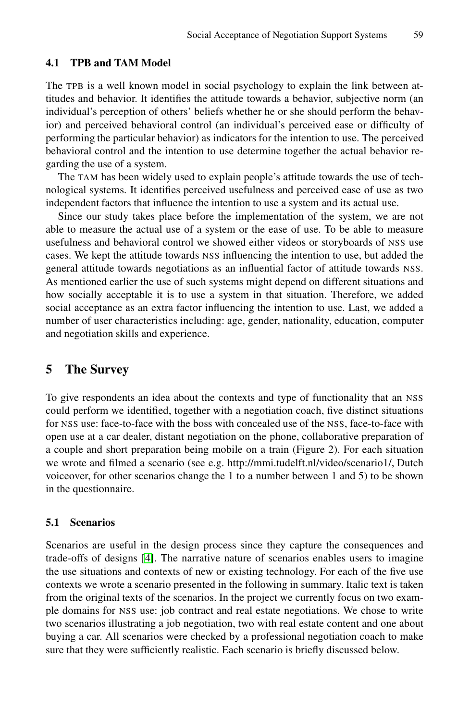### **4.1 TPB and TAM Model**

The TPB is a well known model in social psychology to explain the link between attitudes and behavior. It identifies the attitude towards a behavior, subjective norm (an individual's perception of others' beliefs whether he or she should perform the behavior) and perceived behavioral control (an individual's perceived ease or difficulty of performing the particular behavior) as indicators for the intention to use. The perceived behavioral control and the intention to use determine together the actual behavior regarding the use of a system.

The TAM has been widely used to explain people's attitude towards the use of technological systems. It identifies perceived usefulness and perceived ease of use as two independent factors that influence the intention to use a system and its actual use.

Since our study takes place before the implementation of the system, we are not able to measure the actual use of a system or the ease of use. To be able to measure usefulness and behavioral control we showed either videos or storyboards of NSS use cases. We kept the attitude towards NSS influencing the intention to use, but added the general attitude towards negotiations as an influential factor of attitude towards NSS. As mentioned earlier the use of such systems might depend on different situations and how socially acceptable it is to use a system in that situation. Therefore, we added social acceptance as an extra factor influencing the intention to use. Last, we added a number of user characteristics including: age, gender, nationality, education, computer and negotiation skills and experience.

### **5 The Survey**

To give respondents an idea about the contexts and type of functionality that an NSS could perform we identified, together with a negotiation coach, five distinct situations for NSS use: face-to-face with the boss with concealed use of the NSS, face-to-face with open use at a car dealer, distant negotiation on the phone, collaborative preparation of a couple and short preparation being mobile on a train (Figure 2). For each situation w[e](#page-13-1) [w](#page-13-1)rote and filmed a scenario (see e.g. http://mmi.tudelft.nl/video/scenario1/, Dutch voiceover, for other scenarios change the 1 to a number between 1 and 5) to be shown in the questionnaire.

#### **5.1 Scenarios**

Scenarios are useful in the design process since they capture the consequences and trade-offs of designs [4]. The narrative nature of scenarios enables users to imagine the use situations and contexts of new or existing technology. For each of the five use contexts we wrote a scenario presented in the following in summary. Italic text is taken from the original texts of the scenarios. In the project we currently focus on two example domains for NSS use: job contract and real estate negotiations. We chose to write two scenarios illustrating a job negotiation, two with real estate content and one about buying a car. All scenarios were checked by a professional negotiation coach to make sure that they were sufficiently realistic. Each scenario is briefly discussed below.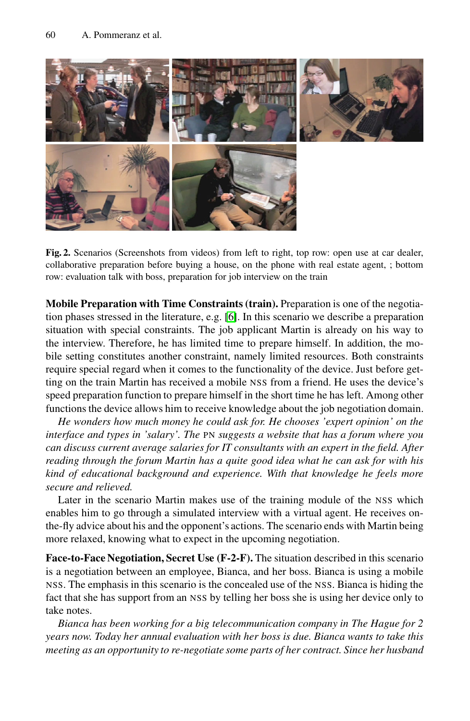#### 60 A. Pommeranz et al.



**Fig. 2.** Scenarios (Screenshots from videos) from left to right, top row: open use at car dealer, collaborative preparation before buying a house, on the phone with real estate agent, ; bottom row: evaluation talk with boss, preparation for job interview on the train

**Mobile Preparation with Time Constraints (train).** Preparation is one of the negotiation phases stressed in the literature, e.g. [6]. In this scenario we describe a preparation situation with special constraints. The job applicant Martin is already on his way to the interview. Therefore, he has limited time to prepare himself. In addition, the mobile setting constitutes another constraint, namely limited resources. Both constraints require special regard when it comes to the functionality of the device. Just before getting on the train Martin has received a mobile NSS from a friend. He uses the device's speed preparation function to prepare himself in the short time he has left. Among other functions the device allows him to receive knowledge about the job negotiation domain.

*He wonders how much money he could ask for. He chooses 'expert opinion' on the interface and types in 'salary'. The* PN *suggests a website that has a forum where you can discuss current average salaries for IT consultants with an expert in the field. After reading through the forum Martin has a quite good idea what he can ask for with his kind of educational background and experience. With that knowledge he feels more secure and relieved.*

Later in the scenario Martin makes use of the training module of the NSS which enables him to go through a simulated interview with a virtual agent. He receives onthe-fly advice about his and the opponent's actions. The scenario ends with Martin being more relaxed, knowing what to expect in the upcoming negotiation.

**Face-to-Face Negotiation, Secret Use (F-2-F).** The situation described in this scenario is a negotiation between an employee, Bianca, and her boss. Bianca is using a mobile NSS. The emphasis in this scenario is the concealed use of the NSS. Bianca is hiding the fact that she has support from an NSS by telling her boss she is using her device only to take notes.

*Bianca has been working for a big telecommunication company in The Hague for 2 years now. Today her annual evaluation with her boss is due. Bianca wants to take this meeting as an opportunity to re-negotiate some parts of her contract. Since her husband*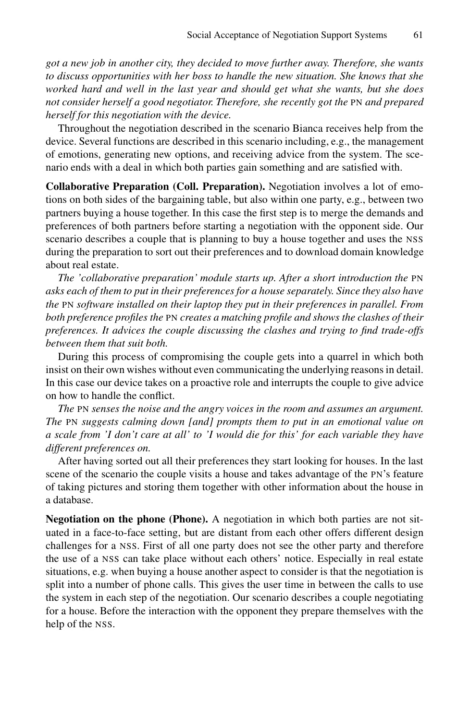*got a new job in another city, they decided to move further away. Therefore, she wants to discuss opportunities with her boss to handle the new situation. She knows that she worked hard and well in the last year and should get what she wants, but she does not consider herself a good negotiator. Therefore, she recently got the* PN *and prepared herself for this negotiation with the device.*

Throughout the negotiation described in the scenario Bianca receives help from the device. Several functions are described in this scenario including, e.g., the management of emotions, generating new options, and receiving advice from the system. The scenario ends with a deal in which both parties gain something and are satisfied with.

**Collaborative Preparation (Coll. Preparation).** Negotiation involves a lot of emotions on both sides of the bargaining table, but also within one party, e.g., between two partners buying a house together. In this case the first step is to merge the demands and preferences of both partners before starting a negotiation with the opponent side. Our scenario describes a couple that is planning to buy a house together and uses the NSS during the preparation to sort out their preferences and to download domain knowledge about real estate.

*The 'collaborative preparation' module starts up. After a short introduction the* PN *asks each of them to put in their preferences for a house separately. Since they also have the* PN *software installed on their laptop they put in their preferences in parallel. From both preference profiles the* PN *creates a matching profile and shows the clashes of their preferences. It advices the couple discussing the clashes and trying to find trade-offs between them that suit both.*

During this process of compromising the couple gets into a quarrel in which both insist on their own wishes without even communicating the underlying reasons in detail. In this case our device takes on a proactive role and interrupts the couple to give advice on how to handle the conflict.

*The* PN *senses the noise and the angry voices in the room and assumes an argument. The* PN *suggests calming down [and] prompts them to put in an emotional value on a scale from 'I don't care at all' to 'I would die for this' for each variable they have different preferences on.*

After having sorted out all their preferences they start looking for houses. In the last scene of the scenario the couple visits a house and takes advantage of the PN's feature of taking pictures and storing them together with other information about the house in a database.

**Negotiation on the phone (Phone).** A negotiation in which both parties are not situated in a face-to-face setting, but are distant from each other offers different design challenges for a NSS. First of all one party does not see the other party and therefore the use of a NSS can take place without each others' notice. Especially in real estate situations, e.g. when buying a house another aspect to consider is that the negotiation is split into a number of phone calls. This gives the user time in between the calls to use the system in each step of the negotiation. Our scenario describes a couple negotiating for a house. Before the interaction with the opponent they prepare themselves with the help of the NSS.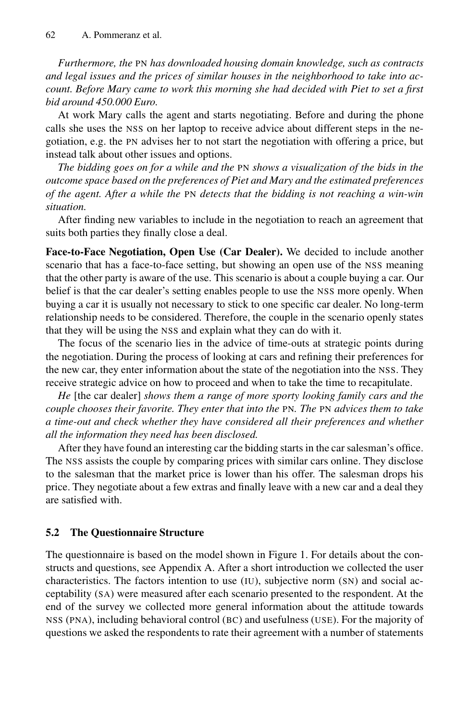*Furthermore, the* PN *has downloaded housing domain knowledge, such as contracts and legal issues and the prices of similar houses in the neighborhood to take into account. Before Mary came to work this morning she had decided with Piet to set a first bid around 450.000 Euro.*

At work Mary calls the agent and starts negotiating. Before and during the phone calls she uses the NSS on her laptop to receive advice about different steps in the negotiation, e.g. the PN advises her to not start the negotiation with offering a price, but instead talk about other issues and options.

*The bidding goes on for a while and the* PN *shows a visualization of the bids in the outcome space based on the preferences of Piet and Mary and the estimated preferences of the agent. After a while the* PN *detects that the bidding is not reaching a win-win situation.*

After finding new variables to include in the negotiation to reach an agreement that suits both parties they finally close a deal.

**Face-to-Face Negotiation, Open Use (Car Dealer).** We decided to include another scenario that has a face-to-face setting, but showing an open use of the NSS meaning that the other party is aware of the use. This scenario is about a couple buying a car. Our belief is that the car dealer's setting enables people to use the NSS more openly. When buying a car it is usually not necessary to stick to one specific car dealer. No long-term relationship needs to be considered. Therefore, the couple in the scenario openly states that they will be using the NSS and explain what they can do with it.

The focus of the scenario lies in the advice of time-outs at strategic points during the negotiation. During the process of looking at cars and refining their preferences for the new car, they enter information about the state of the negotiation into the NSS. They receive strategic advice on how to proceed and when to take the time to recapitulate.

*He* [the car dealer] *shows them a range of more sporty looking family cars and the couple chooses their favorite. They enter that into the* PN*. The* PN *advices them to take a time-out and check whether they have considered all their preferences and whether all the information they need has been disclosed.*

After they have found an interesting car the bidding starts in the car salesman's office. The NSS assists the couple by comparing prices with similar cars online. They disclose to the salesman that the market price is lower than his offer. The salesman drops his price. They negotiate about a few extras and finally leave with a new car and a deal they are satisfied with.

#### **5.2 The Questionnaire Structure**

The questionnaire is based on the model shown in Figure 1. For details about the constructs and questions, see Appendix A. After a short introduction we collected the user characteristics. The factors intention to use (IU), subjective norm (SN) and social acceptability (SA) were measured after each scenario presented to the respondent. At the end of the survey we collected more general information about the attitude towards NSS (PNA), including behavioral control (BC) and usefulness (USE). For the majority of questions we asked the respondents to rate their agreement with a number of statements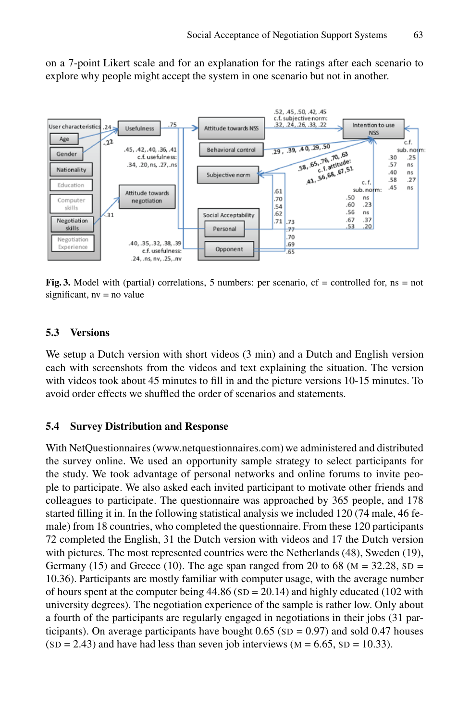on a 7-point Likert scale and for an explanation for the ratings after each scenario to explore why people might accept the system in one scenario but not in another.



**Fig. 3.** Model with (partial) correlations, 5 numbers: per scenario, cf = controlled for, ns = not significant,  $nv = no$  value

#### **5.3 Versions**

We setup a Dutch version with short videos (3 min) and a Dutch and English version each with screenshots from the videos and text explaining the situation. The version with videos took about 45 minutes to fill in and the picture versions 10-15 minutes. To avoid order effects we shuffled the order of scenarios and statements.

#### **5.4 Survey Distribution and Response**

With NetQuestionnaires (www.netquestionnaires.com) we administered and distributed the survey online. We used an opportunity sample strategy to select participants for the study. We took advantage of personal networks and online forums to invite people to participate. We also asked each invited participant to motivate other friends and colleagues to participate. The questionnaire was approached by 365 people, and 178 started filling it in. In the following statistical analysis we included 120 (74 male, 46 female) from 18 countries, who completed the questionnaire. From these 120 participants 72 completed the English, 31 the Dutch version with videos and 17 the Dutch version with pictures. The most represented countries were the Netherlands (48), Sweden (19), Germany (15) and Greece (10). The age span ranged from 20 to 68 ( $M = 32.28$ , SD = 10.36). Participants are mostly familiar with computer usage, with the average number of hours spent at the computer being  $44.86$  (SD = 20.14) and highly educated (102 with university degrees). The negotiation experience of the sample is rather low. Only about a fourth of the participants are regularly engaged in negotiations in their jobs (31 participants). On average participants have bought  $0.65$  (SD = 0.97) and sold 0.47 houses  $(SD = 2.43)$  and have had less than seven job interviews  $(M = 6.65, SD = 10.33)$ .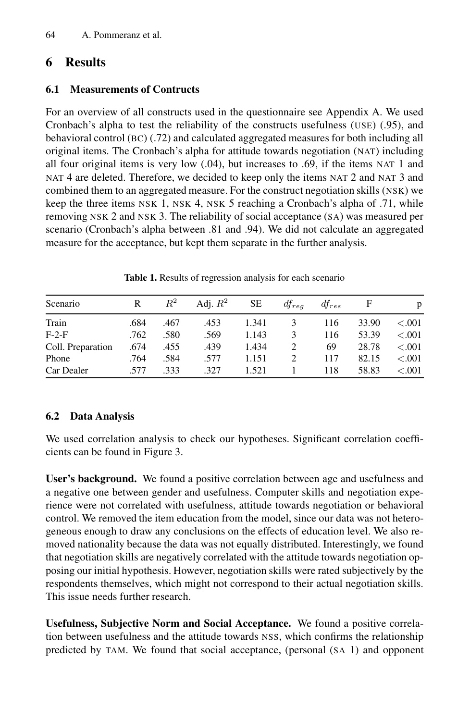# **6 Results**

## **6.1 Measurements of Contructs**

For an overview of all constructs used in the questionnaire see Appendix A. We used Cronbach's alpha to test the reliability of the constructs usefulness (USE) (.95), and behavioral control (BC) (.72) and calculated aggregated measures for both including all original items. The Cronbach's alpha for attitude towards negotiation (NAT) including all four original items is very low (.04), but increases to .69, if the items NAT 1 and NAT 4 are deleted. Therefore, we decided to keep only the items NAT 2 and NAT 3 and combined them to an aggregated measure. For the construct negotiation skills (NSK) we keep the three items NSK 1, NSK 4, NSK 5 reaching a Cronbach's alpha of .71, while removing NSK 2 and NSK 3. The reliability of social acceptance (SA) was measured per scenario (Cronbach's alpha between .81 and .94). We did not calculate an aggregated measure for the acceptance, but kept them separate in the further analysis.

| Scenario          | R    | $\,R^2$ | Adj. $R^2$ | <b>SE</b> | $df_{req}$ | $df_{res}$ |       | p       |
|-------------------|------|---------|------------|-----------|------------|------------|-------|---------|
| Train             | .684 | .467    | .453       | 1.341     |            | 116        | 33.90 | < 0.001 |
| $F-2-F$           | .762 | .580    | .569       | 1.143     | 3          | 116        | 53.39 | < 0.001 |
| Coll. Preparation | .674 | .455    | .439       | 1.434     | 2          | 69         | 28.78 | < 0.001 |
| Phone             | .764 | .584    | .577       | 1.151     |            | 117        | 82.15 | < 0.001 |
| Car Dealer        | .577 | .333    | .327       | 1.521     |            | 118        | 58.83 | < 0.001 |

**Table 1.** Results of regression analysis for each scenario

# **6.2 Data Analysis**

We used correlation analysis to check our hypotheses. Significant correlation coefficients can be found in Figure 3.

**User's background.** We found a positive correlation between age and usefulness and a negative one between gender and usefulness. Computer skills and negotiation experience were not correlated with usefulness, attitude towards negotiation or behavioral control. We removed the item education from the model, since our data was not heterogeneous enough to draw any conclusions on the effects of education level. We also removed nationality because the data was not equally distributed. Interestingly, we found that negotiation skills are negatively correlated with the attitude towards negotiation opposing our initial hypothesis. However, negotiation skills were rated subjectively by the respondents themselves, which might not correspond to their actual negotiation skills. This issue needs further research.

**Usefulness, Subjective Norm and Social Acceptance.** We found a positive correlation between usefulness and the attitude towards NSS, which confirms the relationship predicted by TAM. We found that social acceptance, (personal (SA 1) and opponent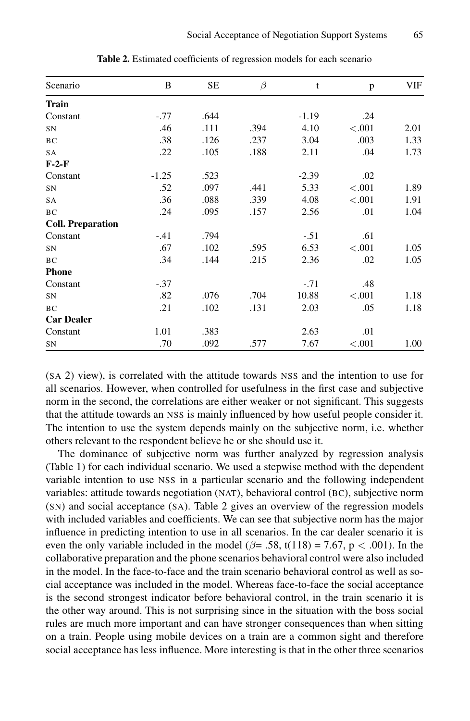| Scenario                 | B       | <b>SE</b> | $\beta$ | t       | p         | VIF  |
|--------------------------|---------|-----------|---------|---------|-----------|------|
| <b>Train</b>             |         |           |         |         |           |      |
| Constant                 | $-.77$  | .644      |         | $-1.19$ | .24       |      |
| SN                       | .46     | .111      | .394    | 4.10    | < .001    | 2.01 |
| ВC                       | .38     | .126      | .237    | 3.04    | .003      | 1.33 |
| SA                       | .22     | .105      | .188    | 2.11    | .04       | 1.73 |
| $F-2-F$                  |         |           |         |         |           |      |
| Constant                 | $-1.25$ | .523      |         | $-2.39$ | .02       |      |
| SN                       | .52     | .097      | .441    | 5.33    | < .001    | 1.89 |
| SA                       | .36     | .088      | .339    | 4.08    | ${<}.001$ | 1.91 |
| BC                       | .24     | .095      | .157    | 2.56    | .01       | 1.04 |
| <b>Coll. Preparation</b> |         |           |         |         |           |      |
| Constant                 | $-.41$  | .794      |         | $-.51$  | .61       |      |
| <b>SN</b>                | .67     | .102      | .595    | 6.53    | ${<}.001$ | 1.05 |
| ВC                       | .34     | .144      | .215    | 2.36    | .02       | 1.05 |
| <b>Phone</b>             |         |           |         |         |           |      |
| Constant                 | $-.37$  |           |         | $-.71$  | .48       |      |
| <b>SN</b>                | .82     | .076      | .704    | 10.88   | ${<}.001$ | 1.18 |
| BC                       | .21     | .102      | .131    | 2.03    | .05       | 1.18 |
| <b>Car Dealer</b>        |         |           |         |         |           |      |
| Constant                 | 1.01    | .383      |         | 2.63    | .01       |      |
| SN                       | .70     | .092      | .577    | 7.67    | ${<}.001$ | 1.00 |

**Table 2.** Estimated coefficients of regression models for each scenario

(SA 2) view), is correlated with the attitude towards NSS and the intention to use for all scenarios. However, when controlled for usefulness in the first case and subjective norm in the second, the correlations are either weaker or not significant. This suggests that the attitude towards an NSS is mainly influenced by how useful people consider it. The intention to use the system depends mainly on the subjective norm, i.e. whether others relevant to the respondent believe he or she should use it.

The dominance of subjective norm was further analyzed by regression analysis (Table 1) for each individual scenario. We used a stepwise method with the dependent variable intention to use NSS in a particular scenario and the following independent variables: attitude towards negotiation (NAT), behavioral control (BC), subjective norm (SN) and social acceptance (SA). Table 2 gives an overview of the regression models with included variables and coefficients. We can see that subjective norm has the major influence in predicting intention to use in all scenarios. In the car dealer scenario it is even the only variable included in the model ( $\beta$ = .58, t(118) = 7.67, p < .001). In the collaborative preparation and the phone scenarios behavioral control were also included in the model. In the face-to-face and the train scenario behavioral control as well as social acceptance was included in the model. Whereas face-to-face the social acceptance is the second strongest indicator before behavioral control, in the train scenario it is the other way around. This is not surprising since in the situation with the boss social rules are much more important and can have stronger consequences than when sitting on a train. People using mobile devices on a train are a common sight and therefore social acceptance has less influence. More interesting is that in the other three scenarios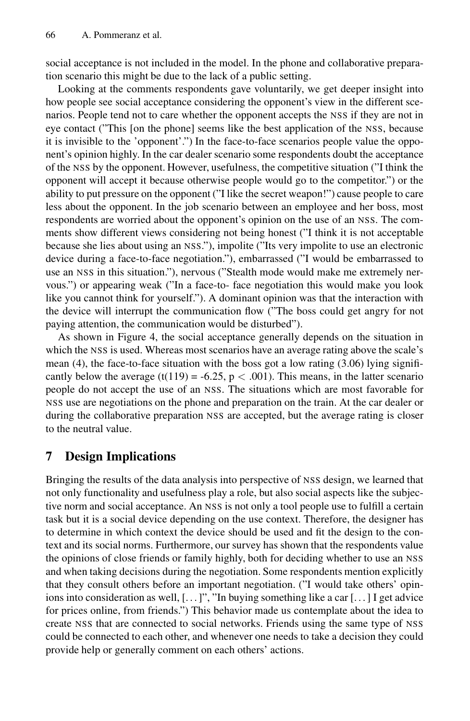social acceptance is not included in the model. In the phone and collaborative preparation scenario this might be due to the lack of a public setting.

Looking at the comments respondents gave voluntarily, we get deeper insight into how people see social acceptance considering the opponent's view in the different scenarios. People tend not to care whether the opponent accepts the NSS if they are not in eye contact ("This [on the phone] seems like the best application of the NSS, because it is invisible to the 'opponent'.") In the face-to-face scenarios people value the opponent's opinion highly. In the car dealer scenario some respondents doubt the acceptance of the NSS by the opponent. However, usefulness, the competitive situation ("I think the opponent will accept it because otherwise people would go to the competitor.") or the ability to put pressure on the opponent ("I like the secret weapon!") cause people to care less about the opponent. In the job scenario between an employee and her boss, most respondents are worried about the opponent's opinion on the use of an NSS. The comments show different views considering not being honest ("I think it is not acceptable because she lies about using an NSS."), impolite ("Its very impolite to use an electronic device during a face-to-face negotiation."), embarrassed ("I would be embarrassed to use an NSS in this situation."), nervous ("Stealth mode would make me extremely nervous.") or appearing weak ("In a face-to- face negotiation this would make you look like you cannot think for yourself."). A dominant opinion was that the interaction with the device will interrupt the communication flow ("The boss could get angry for not paying attention, the communication would be disturbed").

As shown in Figure 4, the social acceptance generally depends on the situation in which the NSS is used. Whereas most scenarios have an average rating above the scale's mean (4), the face-to-face situation with the boss got a low rating (3.06) lying significantly below the average (t(119) = -6.25,  $p < .001$ ). This means, in the latter scenario people do not accept the use of an NSS. The situations which are most favorable for NSS use are negotiations on the phone and preparation on the train. At the car dealer or during the collaborative preparation NSS are accepted, but the average rating is closer to the neutral value.

# **7 Design Implications**

Bringing the results of the data analysis into perspective of NSS design, we learned that not only functionality and usefulness play a role, but also social aspects like the subjective norm and social acceptance. An NSS is not only a tool people use to fulfill a certain task but it is a social device depending on the use context. Therefore, the designer has to determine in which context the device should be used and fit the design to the context and its social norms. Furthermore, our survey has shown that the respondents value the opinions of close friends or family highly, both for deciding whether to use an NSS and when taking decisions during the negotiation. Some respondents mention explicitly that they consult others before an important negotiation. ("I would take others' opinions into consideration as well, [. . . ]", "In buying something like a car [. . . ] I get advice for prices online, from friends.") This behavior made us contemplate about the idea to create NSS that are connected to social networks. Friends using the same type of NSS could be connected to each other, and whenever one needs to take a decision they could provide help or generally comment on each others' actions.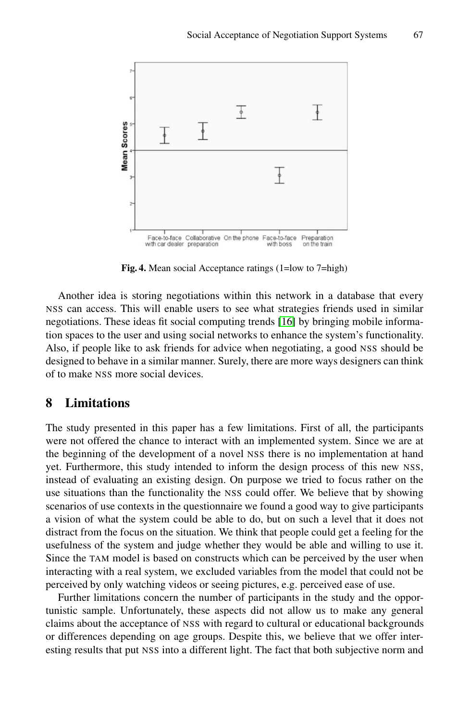

Fig. 4. Mean social Acceptance ratings (1=low to 7=high)

Another idea is storing negotiations within this network in a database that every NSS can access. This will enable users to see what strategies friends used in similar negotiations. These ideas fit social computing trends [16] by bringing mobile information spaces to the user and using social networks to enhance the system's functionality. Also, if people like to ask friends for advice when negotiating, a good NSS should be designed to behave in a similar manner. Surely, there are more ways designers can think of to make NSS more social devices.

### **8 Limitations**

The study presented in this paper has a few limitations. First of all, the participants were not offered the chance to interact with an implemented system. Since we are at the beginning of the development of a novel NSS there is no implementation at hand yet. Furthermore, this study intended to inform the design process of this new NSS, instead of evaluating an existing design. On purpose we tried to focus rather on the use situations than the functionality the NSS could offer. We believe that by showing scenarios of use contexts in the questionnaire we found a good way to give participants a vision of what the system could be able to do, but on such a level that it does not distract from the focus on the situation. We think that people could get a feeling for the usefulness of the system and judge whether they would be able and willing to use it. Since the TAM model is based on constructs which can be perceived by the user when interacting with a real system, we excluded variables from the model that could not be perceived by only watching videos or seeing pictures, e.g. perceived ease of use.

Further limitations concern the number of participants in the study and the opportunistic sample. Unfortunately, these aspects did not allow us to make any general claims about the acceptance of NSS with regard to cultural or educational backgrounds or differences depending on age groups. Despite this, we believe that we offer interesting results that put NSS into a different light. The fact that both subjective norm and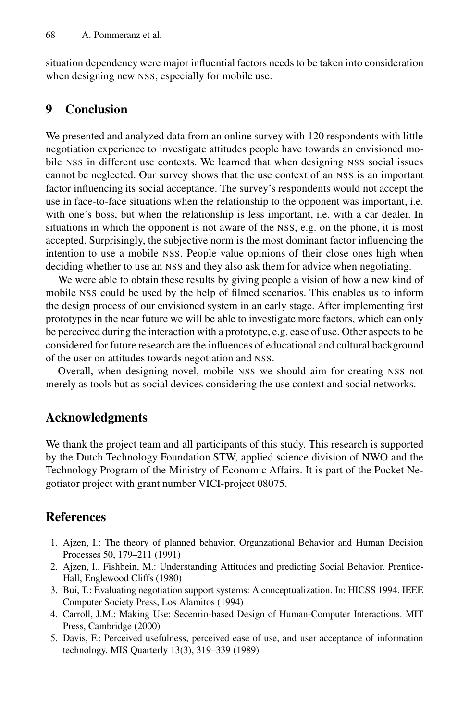situation dependency were major influential factors needs to be taken into consideration when designing new NSS, especially for mobile use.

# **9 Conclusion**

We presented and analyzed data from an online survey with 120 respondents with little negotiation experience to investigate attitudes people have towards an envisioned mobile NSS in different use contexts. We learned that when designing NSS social issues cannot be neglected. Our survey shows that the use context of an NSS is an important factor influencing its social acceptance. The survey's respondents would not accept the use in face-to-face situations when the relationship to the opponent was important, i.e. with one's boss, but when the relationship is less important, i.e. with a car dealer. In situations in which the opponent is not aware of the NSS, e.g. on the phone, it is most accepted. Surprisingly, the subjective norm is the most dominant factor influencing the intention to use a mobile NSS. People value opinions of their close ones high when deciding whether to use an NSS and they also ask them for advice when negotiating.

We were able to obtain these results by giving people a vision of how a new kind of mobile NSS could be used by the help of filmed scenarios. This enables us to inform the design process of our envisioned system in an early stage. After implementing first prototypes in the near future we will be able to investigate more factors, which can only be perceived during the interaction with a prototype, e.g. ease of use. Other aspects to be considered for future research are the influences of educational and cultural background of the user on attitudes towards negotiation and NSS.

Overall, when designing novel, mobile NSS we should aim for creating NSS not merely as tools but as social devices considering the use context and social networks.

# **Acknowledgments**

We thank the project team and all participants of this study. This research is supported by the Dutch Technology Foundation STW, applied science division of NWO and the Technology Program of the Ministry of Economic Affairs. It is part of the Pocket Negotiator project with grant number VICI-project 08075.

# **References**

- <span id="page-13-0"></span>1. Ajzen, I.: The theory of planned behavior. Organzational Behavior and Human Decision Processes 50, 179–211 (1991)
- 2. Ajzen, I., Fishbein, M.: Understanding Attitudes and predicting Social Behavior. Prentice-Hall, Englewood Cliffs (1980)
- 3. Bui, T.: Evaluating negotiation support systems: A conceptualization. In: HICSS 1994. IEEE Computer Society Press, Los Alamitos (1994)
- <span id="page-13-1"></span>4. Carroll, J.M.: Making Use: Secenrio-based Design of Human-Computer Interactions. MIT Press, Cambridge (2000)
- 5. Davis, F.: Perceived usefulness, perceived ease of use, and user acceptance of information technology. MIS Quarterly 13(3), 319–339 (1989)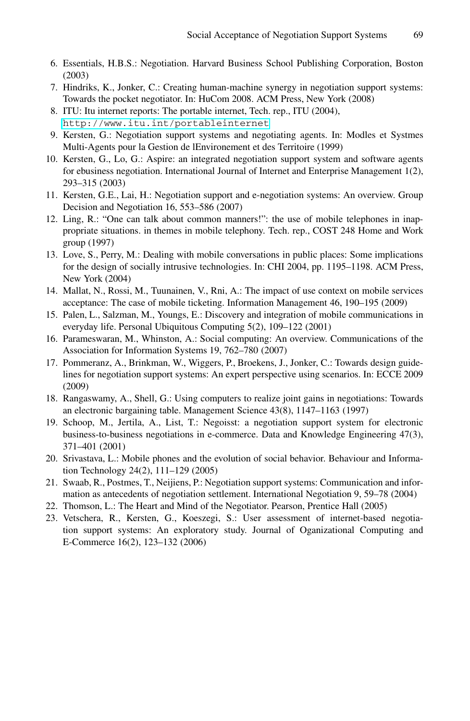- <span id="page-14-6"></span><span id="page-14-5"></span><span id="page-14-4"></span><span id="page-14-2"></span><span id="page-14-1"></span>6. Essentials, H.B.S.: Negotiation. Harvard Business School Publishing Corporation, Boston (2003)
- <span id="page-14-3"></span>7. Hindriks, K., Jonker, C.: Creating human-machine synergy in negotiation support systems: Towards the pocket negotiator. In: HuCom 2008. ACM Press, New York (2008)
- <span id="page-14-8"></span>8. ITU: Itu internet reports: The portable internet, Tech. rep., ITU (2004), http://www.itu.int/portableinternet
- 9. Kersten, G.: Negotiation support systems and negotiating agents. In: Modles et Systmes Multi-Agents pour la Gestion de lEnvironement et des Territoire (1999)
- <span id="page-14-9"></span>10. Kersten, G., Lo, G.: Aspire: an integrated negotiation support system and software agents for ebusiness negotiation. International Journal of Internet and Enterprise Management 1(2), 293–315 (2003)
- <span id="page-14-11"></span><span id="page-14-10"></span>11. Kersten, G.E., Lai, H.: Negotiation support and e-negotiation systems: An overview. Group Decision and Negotiation 16, 553–586 (2007)
- 12. Ling, R.: "One can talk about common manners!": the use of mobile telephones in inappropriate situations. in themes in mobile telephony. Tech. rep., COST 248 Home and Work group (1997)
- <span id="page-14-7"></span>13. Love, S., Perry, M.: Dealing with mobile conversations in public places: Some implications for the design of socially intrusive technologies. In: CHI 2004, pp. 1195–1198. ACM Press, New York (2004)
- 14. Mallat, N., Rossi, M., Tuunainen, V., Rni, A.: The impact of use context on mobile services acceptance: The case of mobile ticketing. Information Management 46, 190–195 (2009)
- 15. Palen, L., Salzman, M., Youngs, E.: Discovery and integration of mobile communications in everyday life. Personal Ubiquitous Computing 5(2), 109–122 (2001)
- 16. Parameswaran, M., Whinston, A.: Social computing: An overview. Communications of the Association for Information Systems 19, 762–780 (2007)
- 17. Pommeranz, A., Brinkman, W., Wiggers, P., Broekens, J., Jonker, C.: Towards design guidelines for negotiation support systems: An expert perspective using scenarios. In: ECCE 2009 (2009)
- <span id="page-14-0"></span>18. Rangaswamy, A., Shell, G.: Using computers to realize joint gains in negotiations: Towards an electronic bargaining table. Management Science 43(8), 1147–1163 (1997)
- 19. Schoop, M., Jertila, A., List, T.: Negoisst: a negotiation support system for electronic business-to-business negotiations in e-commerce. Data and Knowledge Engineering 47(3), 371–401 (2001)
- 20. Srivastava, L.: Mobile phones and the evolution of social behavior. Behaviour and Information Technology 24(2), 111–129 (2005)
- 21. Swaab, R., Postmes, T., Neijiens, P.: Negotiation support systems: Communication and information as antecedents of negotiation settlement. International Negotiation 9, 59–78 (2004)
- 22. Thomson, L.: The Heart and Mind of the Negotiator. Pearson, Prentice Hall (2005)
- 23. Vetschera, R., Kersten, G., Koeszegi, S.: User assessment of internet-based negotiation support systems: An exploratory study. Journal of Oganizational Computing and E-Commerce 16(2), 123–132 (2006)